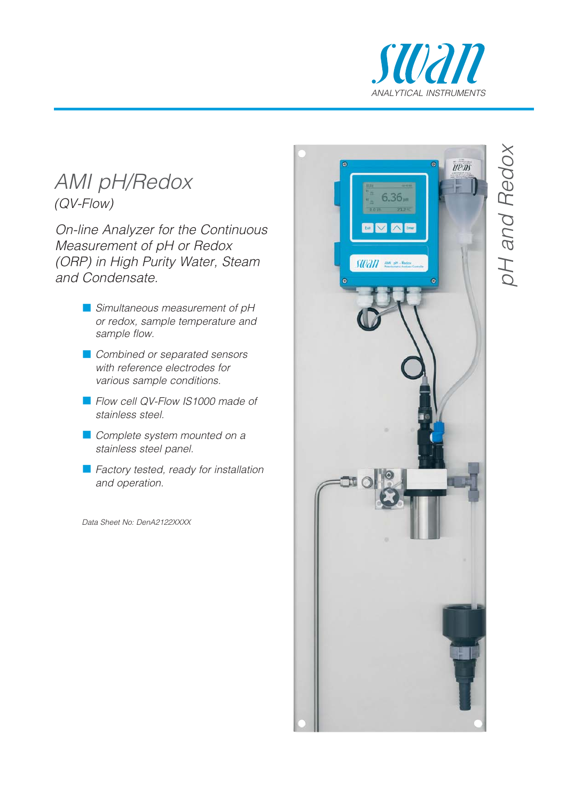

## AMI pH/Redox (QV-Flow)

On-line Analyzer for the Continuous Measurement of pH or Redox (ORP) in High Purity Water, Steam and Condensate.

- **Simultaneous measurement of pH** or redox, sample temperature and sample flow.
- **Combined or separated sensors** with reference electrodes for various sample conditions.
- Flow cell QV-Flow IS1000 made of stainless steel.
- **Complete system mounted on a** stainless steel panel.
- **Factory tested, ready for installation** and operation.

Data Sheet No: DenA2122XXXX



# pH and Redox oH and Redox